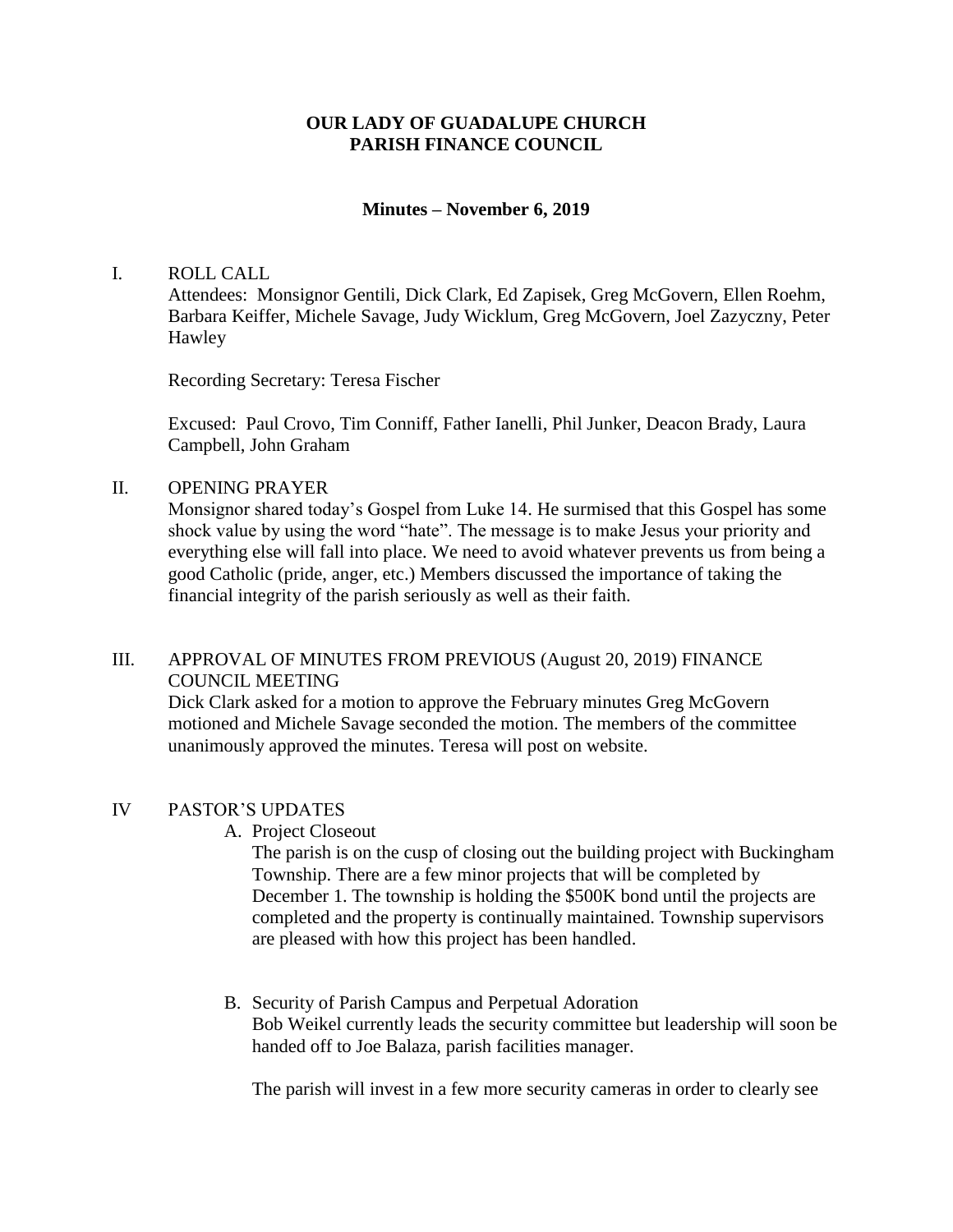## **OUR LADY OF GUADALUPE CHURCH PARISH FINANCE COUNCIL**

### **Minutes – November 6, 2019**

#### I. ROLL CALL

Attendees: Monsignor Gentili, Dick Clark, Ed Zapisek, Greg McGovern, Ellen Roehm, Barbara Keiffer, Michele Savage, Judy Wicklum, Greg McGovern, Joel Zazyczny, Peter Hawley

Recording Secretary: Teresa Fischer

Excused: Paul Crovo, Tim Conniff, Father Ianelli, Phil Junker, Deacon Brady, Laura Campbell, John Graham

II. OPENING PRAYER

Monsignor shared today's Gospel from Luke 14. He surmised that this Gospel has some shock value by using the word "hate". The message is to make Jesus your priority and everything else will fall into place. We need to avoid whatever prevents us from being a good Catholic (pride, anger, etc.) Members discussed the importance of taking the financial integrity of the parish seriously as well as their faith.

## III. APPROVAL OF MINUTES FROM PREVIOUS (August 20, 2019) FINANCE COUNCIL MEETING

Dick Clark asked for a motion to approve the February minutes Greg McGovern motioned and Michele Savage seconded the motion. The members of the committee unanimously approved the minutes. Teresa will post on website.

#### IV PASTOR'S UPDATES

A. Project Closeout

The parish is on the cusp of closing out the building project with Buckingham Township. There are a few minor projects that will be completed by December 1. The township is holding the \$500K bond until the projects are completed and the property is continually maintained. Township supervisors are pleased with how this project has been handled.

B. Security of Parish Campus and Perpetual Adoration Bob Weikel currently leads the security committee but leadership will soon be handed off to Joe Balaza, parish facilities manager.

The parish will invest in a few more security cameras in order to clearly see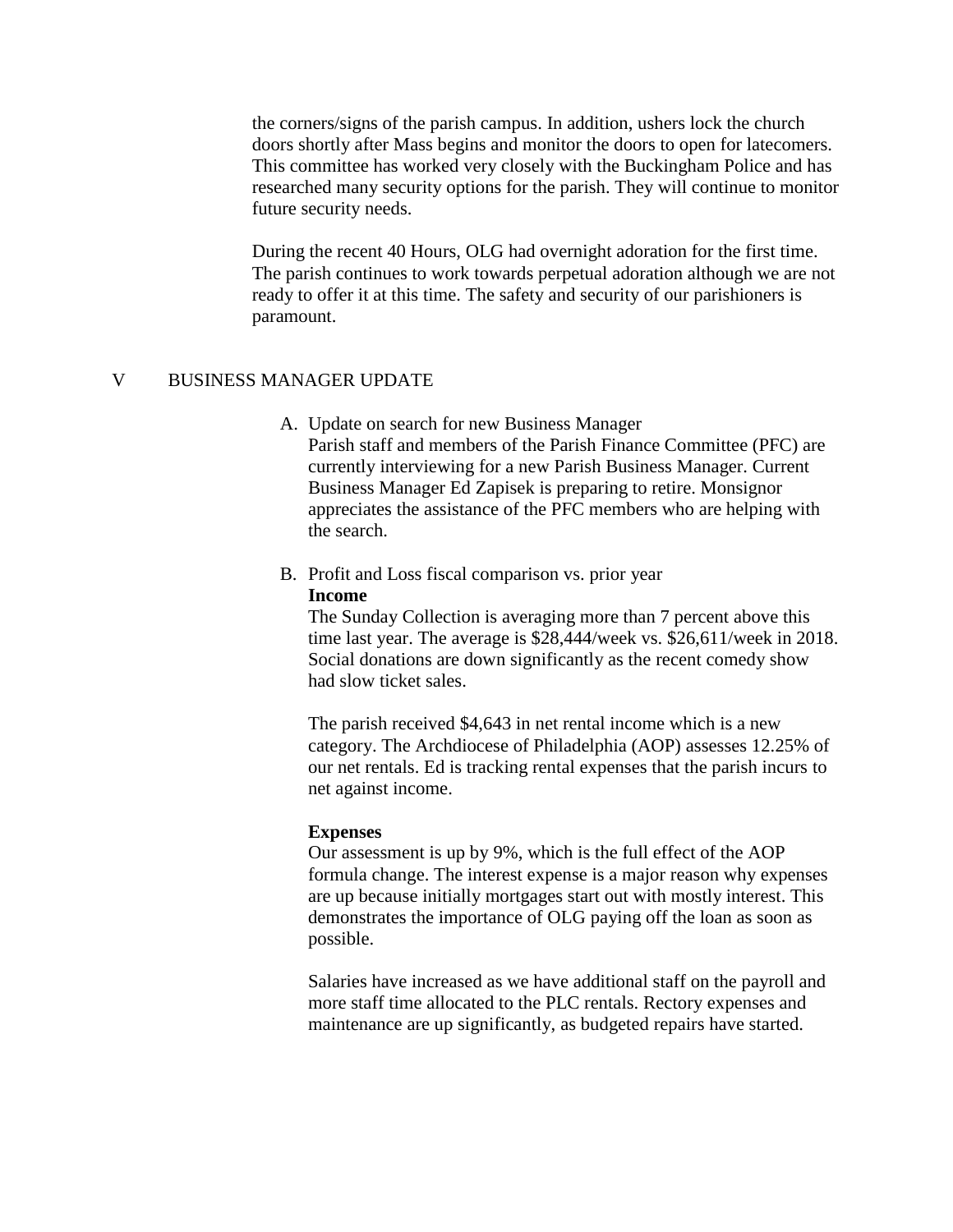the corners/signs of the parish campus. In addition, ushers lock the church doors shortly after Mass begins and monitor the doors to open for latecomers. This committee has worked very closely with the Buckingham Police and has researched many security options for the parish. They will continue to monitor future security needs.

During the recent 40 Hours, OLG had overnight adoration for the first time. The parish continues to work towards perpetual adoration although we are not ready to offer it at this time. The safety and security of our parishioners is paramount.

## V BUSINESS MANAGER UPDATE

- A. Update on search for new Business Manager Parish staff and members of the Parish Finance Committee (PFC) are currently interviewing for a new Parish Business Manager. Current Business Manager Ed Zapisek is preparing to retire. Monsignor appreciates the assistance of the PFC members who are helping with the search.
- B. Profit and Loss fiscal comparison vs. prior year **Income**

The Sunday Collection is averaging more than 7 percent above this time last year. The average is \$28,444/week vs. \$26,611/week in 2018. Social donations are down significantly as the recent comedy show had slow ticket sales.

The parish received \$4,643 in net rental income which is a new category. The Archdiocese of Philadelphia (AOP) assesses 12.25% of our net rentals. Ed is tracking rental expenses that the parish incurs to net against income.

### **Expenses**

Our assessment is up by 9%, which is the full effect of the AOP formula change. The interest expense is a major reason why expenses are up because initially mortgages start out with mostly interest. This demonstrates the importance of OLG paying off the loan as soon as possible.

Salaries have increased as we have additional staff on the payroll and more staff time allocated to the PLC rentals. Rectory expenses and maintenance are up significantly, as budgeted repairs have started.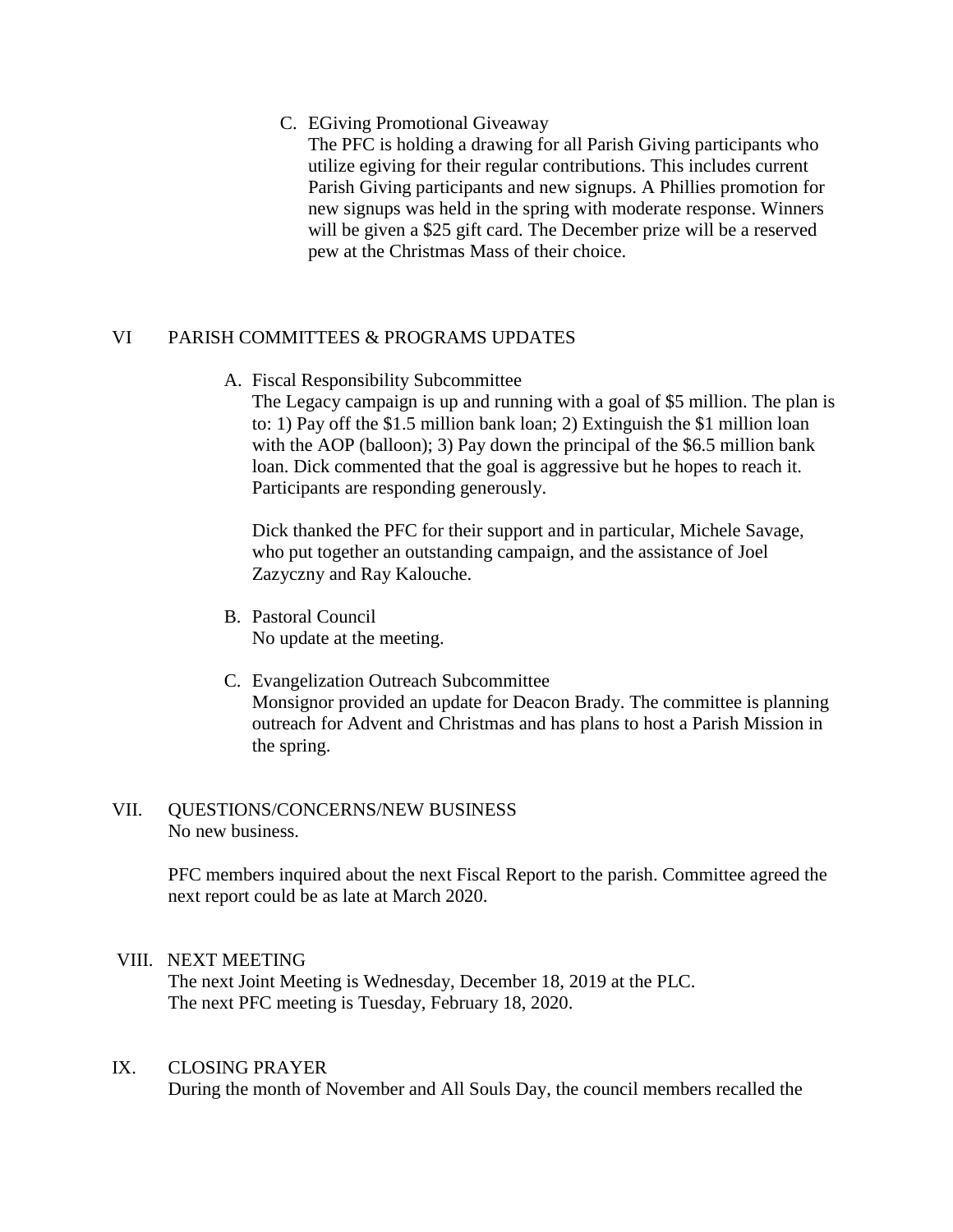## C. EGiving Promotional Giveaway

The PFC is holding a drawing for all Parish Giving participants who utilize egiving for their regular contributions. This includes current Parish Giving participants and new signups. A Phillies promotion for new signups was held in the spring with moderate response. Winners will be given a \$25 gift card. The December prize will be a reserved pew at the Christmas Mass of their choice.

# VI PARISH COMMITTEES & PROGRAMS UPDATES

A. Fiscal Responsibility Subcommittee

The Legacy campaign is up and running with a goal of \$5 million. The plan is to: 1) Pay off the \$1.5 million bank loan; 2) Extinguish the \$1 million loan with the AOP (balloon); 3) Pay down the principal of the \$6.5 million bank loan. Dick commented that the goal is aggressive but he hopes to reach it. Participants are responding generously.

Dick thanked the PFC for their support and in particular, Michele Savage, who put together an outstanding campaign, and the assistance of Joel Zazyczny and Ray Kalouche.

- B. Pastoral Council No update at the meeting.
- C. Evangelization Outreach Subcommittee Monsignor provided an update for Deacon Brady. The committee is planning outreach for Advent and Christmas and has plans to host a Parish Mission in the spring.

# VII. QUESTIONS/CONCERNS/NEW BUSINESS No new business.

PFC members inquired about the next Fiscal Report to the parish. Committee agreed the next report could be as late at March 2020.

# VIII. NEXT MEETING

The next Joint Meeting is Wednesday, December 18, 2019 at the PLC. The next PFC meeting is Tuesday, February 18, 2020.

### IX. CLOSING PRAYER

During the month of November and All Souls Day, the council members recalled the